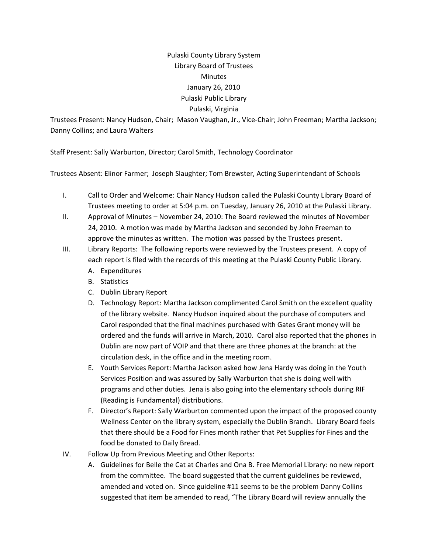## Pulaski County Library System Library Board of Trustees Minutes January 26, 2010 Pulaski Public Library Pulaski, Virginia

Trustees Present: Nancy Hudson, Chair; Mason Vaughan, Jr., Vice‐Chair; John Freeman; Martha Jackson; Danny Collins; and Laura Walters

Staff Present: Sally Warburton, Director; Carol Smith, Technology Coordinator

Trustees Absent: Elinor Farmer; Joseph Slaughter; Tom Brewster, Acting Superintendant of Schools

- I. Call to Order and Welcome: Chair Nancy Hudson called the Pulaski County Library Board of Trustees meeting to order at 5:04 p.m. on Tuesday, January 26, 2010 at the Pulaski Library.
- II. Approval of Minutes November 24, 2010: The Board reviewed the minutes of November 24, 2010. A motion was made by Martha Jackson and seconded by John Freeman to approve the minutes as written. The motion was passed by the Trustees present.
- III. Library Reports: The following reports were reviewed by the Trustees present. A copy of each report is filed with the records of this meeting at the Pulaski County Public Library.
	- A. Expenditures
	- B. Statistics
	- C. Dublin Library Report
	- D. Technology Report: Martha Jackson complimented Carol Smith on the excellent quality of the library website. Nancy Hudson inquired about the purchase of computers and Carol responded that the final machines purchased with Gates Grant money will be ordered and the funds will arrive in March, 2010. Carol also reported that the phones in Dublin are now part of VOIP and that there are three phones at the branch: at the circulation desk, in the office and in the meeting room.
	- E. Youth Services Report: Martha Jackson asked how Jena Hardy was doing in the Youth Services Position and was assured by Sally Warburton that she is doing well with programs and other duties. Jena is also going into the elementary schools during RIF (Reading is Fundamental) distributions.
	- F. Director's Report: Sally Warburton commented upon the impact of the proposed county Wellness Center on the library system, especially the Dublin Branch. Library Board feels that there should be a Food for Fines month rather that Pet Supplies for Fines and the food be donated to Daily Bread.
- IV. Follow Up from Previous Meeting and Other Reports:
	- A. Guidelines for Belle the Cat at Charles and Ona B. Free Memorial Library: no new report from the committee. The board suggested that the current guidelines be reviewed, amended and voted on. Since guideline #11 seems to be the problem Danny Collins suggested that item be amended to read, "The Library Board will review annually the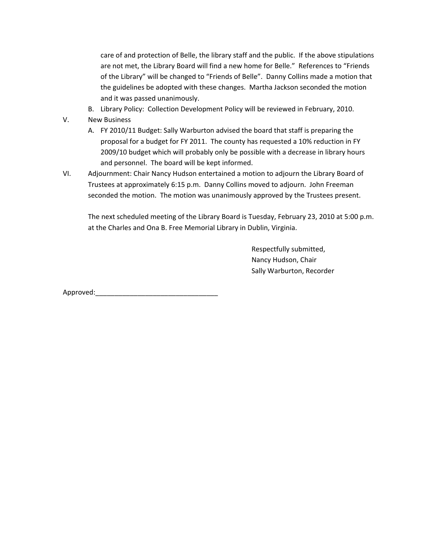care of and protection of Belle, the library staff and the public. If the above stipulations are not met, the Library Board will find a new home for Belle." References to "Friends of the Library" will be changed to "Friends of Belle". Danny Collins made a motion that the guidelines be adopted with these changes. Martha Jackson seconded the motion and it was passed unanimously.

B. Library Policy: Collection Development Policy will be reviewed in February, 2010.

V. New Business

- A. FY 2010/11 Budget: Sally Warburton advised the board that staff is preparing the proposal for a budget for FY 2011. The county has requested a 10% reduction in FY 2009/10 budget which will probably only be possible with a decrease in library hours and personnel. The board will be kept informed.
- VI. Adjournment: Chair Nancy Hudson entertained a motion to adjourn the Library Board of Trustees at approximately 6:15 p.m. Danny Collins moved to adjourn. John Freeman seconded the motion. The motion was unanimously approved by the Trustees present.

The next scheduled meeting of the Library Board is Tuesday, February 23, 2010 at 5:00 p.m. at the Charles and Ona B. Free Memorial Library in Dublin, Virginia.

> Respectfully submitted, Nancy Hudson, Chair Sally Warburton, Recorder

Approved: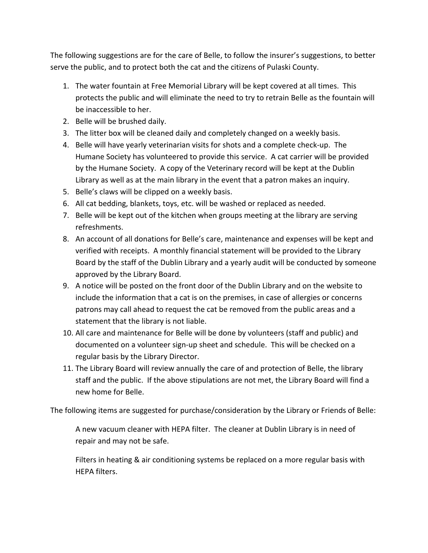The following suggestions are for the care of Belle, to follow the insurer's suggestions, to better serve the public, and to protect both the cat and the citizens of Pulaski County.

- 1. The water fountain at Free Memorial Library will be kept covered at all times. This protects the public and will eliminate the need to try to retrain Belle as the fountain will be inaccessible to her.
- 2. Belle will be brushed daily.
- 3. The litter box will be cleaned daily and completely changed on a weekly basis.
- 4. Belle will have yearly veterinarian visits for shots and a complete check‐up. The Humane Society has volunteered to provide this service. A cat carrier will be provided by the Humane Society. A copy of the Veterinary record will be kept at the Dublin Library as well as at the main library in the event that a patron makes an inquiry.
- 5. Belle's claws will be clipped on a weekly basis.
- 6. All cat bedding, blankets, toys, etc. will be washed or replaced as needed.
- 7. Belle will be kept out of the kitchen when groups meeting at the library are serving refreshments.
- 8. An account of all donations for Belle's care, maintenance and expenses will be kept and verified with receipts. A monthly financial statement will be provided to the Library Board by the staff of the Dublin Library and a yearly audit will be conducted by someone approved by the Library Board.
- 9. A notice will be posted on the front door of the Dublin Library and on the website to include the information that a cat is on the premises, in case of allergies or concerns patrons may call ahead to request the cat be removed from the public areas and a statement that the library is not liable.
- 10. All care and maintenance for Belle will be done by volunteers (staff and public) and documented on a volunteer sign‐up sheet and schedule. This will be checked on a regular basis by the Library Director.
- 11. The Library Board will review annually the care of and protection of Belle, the library staff and the public. If the above stipulations are not met, the Library Board will find a new home for Belle.

The following items are suggested for purchase/consideration by the Library or Friends of Belle:

A new vacuum cleaner with HEPA filter. The cleaner at Dublin Library is in need of repair and may not be safe.

Filters in heating & air conditioning systems be replaced on a more regular basis with HEPA filters.